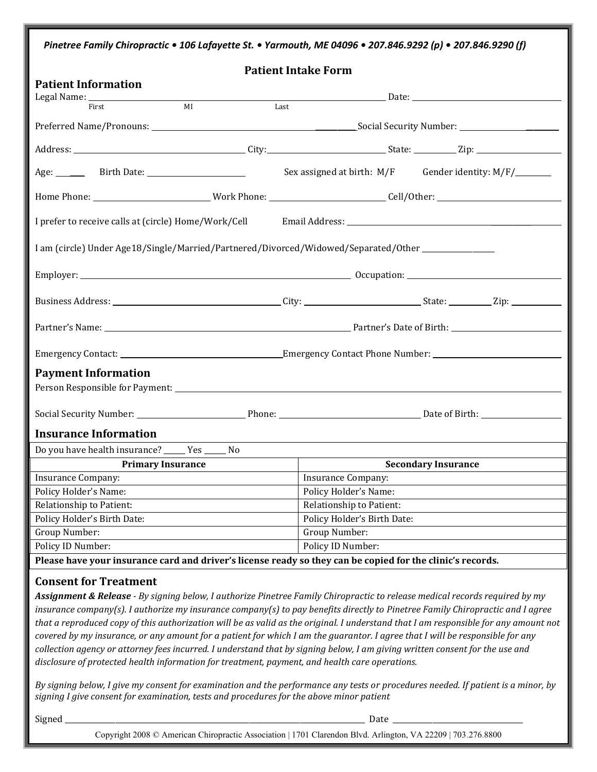| Pinetree Family Chiropractic • 106 Lafayette St. • Yarmouth, ME 04096 • 207.846.9292 (p) • 207.846.9290 (f) |                          |                   |                                                                                                            |  |
|-------------------------------------------------------------------------------------------------------------|--------------------------|-------------------|------------------------------------------------------------------------------------------------------------|--|
|                                                                                                             |                          |                   | <b>Patient Intake Form</b>                                                                                 |  |
| <b>Patient Information</b>                                                                                  |                          |                   |                                                                                                            |  |
|                                                                                                             | MI                       |                   |                                                                                                            |  |
| First                                                                                                       |                          | Last              |                                                                                                            |  |
|                                                                                                             |                          |                   |                                                                                                            |  |
|                                                                                                             |                          |                   |                                                                                                            |  |
| Age: Birth Date: 1990 March 2014                                                                            |                          |                   | Sex assigned at birth: M/F Gender identity: M/F/                                                           |  |
|                                                                                                             |                          |                   |                                                                                                            |  |
|                                                                                                             |                          |                   |                                                                                                            |  |
|                                                                                                             |                          |                   | I am (circle) Under Age18/Single/Married/Partnered/Divorced/Widowed/Separated/Other _______________        |  |
|                                                                                                             |                          |                   |                                                                                                            |  |
|                                                                                                             |                          |                   |                                                                                                            |  |
|                                                                                                             |                          |                   | Business Address: 2008. [2013] City: 2014 City: 2014 City: 2014 State: 2015 City: 21p:                     |  |
|                                                                                                             |                          |                   |                                                                                                            |  |
|                                                                                                             |                          |                   |                                                                                                            |  |
|                                                                                                             |                          |                   |                                                                                                            |  |
| <b>Payment Information</b>                                                                                  |                          |                   |                                                                                                            |  |
|                                                                                                             |                          |                   |                                                                                                            |  |
|                                                                                                             |                          |                   |                                                                                                            |  |
| <b>Insurance Information</b>                                                                                |                          |                   |                                                                                                            |  |
| Do you have health insurance? ______ Yes ______ No                                                          |                          |                   |                                                                                                            |  |
|                                                                                                             | <b>Primary Insurance</b> |                   | <b>Secondary Insurance</b>                                                                                 |  |
| <b>Insurance Company:</b>                                                                                   |                          |                   | <b>Insurance Company:</b>                                                                                  |  |
| Policy Holder's Name:                                                                                       |                          |                   | Policy Holder's Name:                                                                                      |  |
| Relationship to Patient:                                                                                    |                          |                   | Relationship to Patient:                                                                                   |  |
| Policy Holder's Birth Date:                                                                                 |                          |                   | Policy Holder's Birth Date:                                                                                |  |
| Group Number:                                                                                               |                          |                   | Group Number:                                                                                              |  |
| Policy ID Number:                                                                                           |                          | Policy ID Number: |                                                                                                            |  |
|                                                                                                             |                          |                   | Please have your insurance card and driver's license ready so they can be copied for the clinic's records. |  |
|                                                                                                             |                          |                   |                                                                                                            |  |

### **Consent for Treatment**

*Assignment & Release - By signing below, I authorize Pinetree Family Chiropractic to release medical records required by my insurance company(s). I authorize my insurance company(s) to pay benefits directly to Pinetree Family Chiropractic and I agree that a reproduced copy of this authorization will be as valid as the original. I understand that I am responsible for any amount not covered by my insurance, or any amount for a patient for which I am the guarantor. I agree that I will be responsible for any collection agency or attorney fees incurred. I understand that by signing below, I am giving written consent for the use and disclosure of protected health information for treatment, payment, and health care operations.* 

*By signing below, I give my consent for examination and the performance any tests or procedures needed. If patient is a minor, by signing I give consent for examination, tests and procedures for the above minor patient*

Signed \_\_\_\_\_\_\_\_\_\_\_\_\_\_\_\_\_\_\_\_\_\_\_\_\_\_\_\_\_\_\_\_\_\_\_\_\_\_\_\_\_\_\_\_\_\_\_\_\_\_\_\_\_\_\_\_\_\_\_\_\_\_\_\_\_\_\_\_\_\_\_\_\_\_\_\_\_\_\_\_\_\_\_ Date \_\_\_\_\_\_\_\_\_\_\_\_\_\_\_\_\_\_\_\_\_\_\_\_\_\_\_\_\_\_\_\_\_\_\_\_

Copyright 2008 © American Chiropractic Association | 1701 Clarendon Blvd. Arlington, VA 22209 | 703.276.8800